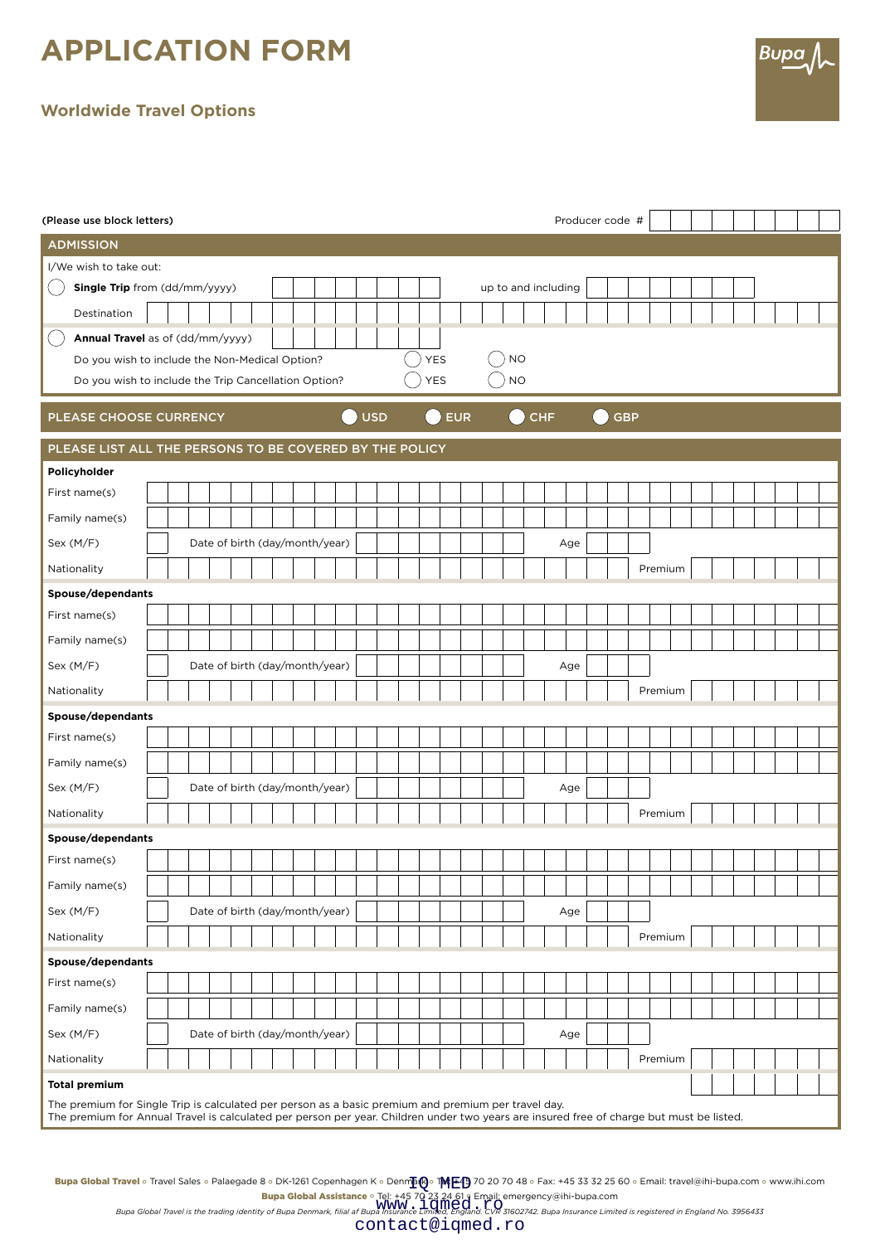## **APPLICATION FORM**

## **Worldwide Travel Options**

| (Please use block letters)                                                                                                                                                                                                                      |                                       |                                |  |  |  |  |  |  |  |            |  |                                                      |            | Producer code # |  |           |                     |  |  |     |  |         |         |         |  |  |  |  |  |  |  |  |
|-------------------------------------------------------------------------------------------------------------------------------------------------------------------------------------------------------------------------------------------------|---------------------------------------|--------------------------------|--|--|--|--|--|--|--|------------|--|------------------------------------------------------|------------|-----------------|--|-----------|---------------------|--|--|-----|--|---------|---------|---------|--|--|--|--|--|--|--|--|
| <b>ADMISSION</b>                                                                                                                                                                                                                                |                                       |                                |  |  |  |  |  |  |  |            |  |                                                      |            |                 |  |           |                     |  |  |     |  |         |         |         |  |  |  |  |  |  |  |  |
| I/We wish to take out:                                                                                                                                                                                                                          |                                       |                                |  |  |  |  |  |  |  |            |  |                                                      |            |                 |  |           |                     |  |  |     |  |         |         |         |  |  |  |  |  |  |  |  |
|                                                                                                                                                                                                                                                 | Single Trip from (dd/mm/yyyy)         |                                |  |  |  |  |  |  |  |            |  |                                                      |            |                 |  |           | up to and including |  |  |     |  |         |         |         |  |  |  |  |  |  |  |  |
| Destination                                                                                                                                                                                                                                     |                                       |                                |  |  |  |  |  |  |  |            |  |                                                      |            |                 |  |           |                     |  |  |     |  |         |         |         |  |  |  |  |  |  |  |  |
| Annual Travel as of (dd/mm/yyyy)                                                                                                                                                                                                                |                                       |                                |  |  |  |  |  |  |  |            |  |                                                      |            |                 |  |           |                     |  |  |     |  |         |         |         |  |  |  |  |  |  |  |  |
| Do you wish to include the Non-Medical Option?                                                                                                                                                                                                  |                                       |                                |  |  |  |  |  |  |  |            |  | <b>YES</b>                                           |            |                 |  | <b>NO</b> |                     |  |  |     |  |         |         |         |  |  |  |  |  |  |  |  |
| Do you wish to include the Trip Cancellation Option?                                                                                                                                                                                            |                                       |                                |  |  |  |  |  |  |  |            |  |                                                      | <b>YES</b> |                 |  |           | $NO$                |  |  |     |  |         |         |         |  |  |  |  |  |  |  |  |
| PLEASE CHOOSE CURRENCY                                                                                                                                                                                                                          |                                       |                                |  |  |  |  |  |  |  | <b>USD</b> |  | <b>EUR</b><br><b>CHF</b><br><b>GBP</b><br>- 1<br>- 1 |            |                 |  |           |                     |  |  |     |  |         |         |         |  |  |  |  |  |  |  |  |
| PLEASE LIST ALL THE PERSONS TO BE COVERED BY THE POLICY                                                                                                                                                                                         |                                       |                                |  |  |  |  |  |  |  |            |  |                                                      |            |                 |  |           |                     |  |  |     |  |         |         |         |  |  |  |  |  |  |  |  |
| Policyholder                                                                                                                                                                                                                                    |                                       |                                |  |  |  |  |  |  |  |            |  |                                                      |            |                 |  |           |                     |  |  |     |  |         |         |         |  |  |  |  |  |  |  |  |
| First name(s)                                                                                                                                                                                                                                   |                                       |                                |  |  |  |  |  |  |  |            |  |                                                      |            |                 |  |           |                     |  |  |     |  |         |         |         |  |  |  |  |  |  |  |  |
| Family name(s)                                                                                                                                                                                                                                  |                                       |                                |  |  |  |  |  |  |  |            |  |                                                      |            |                 |  |           |                     |  |  |     |  |         |         |         |  |  |  |  |  |  |  |  |
| Sex (M/F)                                                                                                                                                                                                                                       |                                       | Date of birth (day/month/year) |  |  |  |  |  |  |  |            |  |                                                      |            |                 |  |           |                     |  |  | Age |  |         |         |         |  |  |  |  |  |  |  |  |
| Nationality                                                                                                                                                                                                                                     |                                       |                                |  |  |  |  |  |  |  |            |  |                                                      |            |                 |  |           |                     |  |  |     |  |         |         | Premium |  |  |  |  |  |  |  |  |
| Spouse/dependants                                                                                                                                                                                                                               |                                       |                                |  |  |  |  |  |  |  |            |  |                                                      |            |                 |  |           |                     |  |  |     |  |         |         |         |  |  |  |  |  |  |  |  |
| First name(s)                                                                                                                                                                                                                                   |                                       |                                |  |  |  |  |  |  |  |            |  |                                                      |            |                 |  |           |                     |  |  |     |  |         |         |         |  |  |  |  |  |  |  |  |
| Family name(s)                                                                                                                                                                                                                                  |                                       |                                |  |  |  |  |  |  |  |            |  |                                                      |            |                 |  |           |                     |  |  |     |  |         |         |         |  |  |  |  |  |  |  |  |
| Sex (M/F)                                                                                                                                                                                                                                       | Date of birth (day/month/year)<br>Age |                                |  |  |  |  |  |  |  |            |  |                                                      |            |                 |  |           |                     |  |  |     |  |         |         |         |  |  |  |  |  |  |  |  |
| Nationality                                                                                                                                                                                                                                     |                                       |                                |  |  |  |  |  |  |  |            |  |                                                      |            |                 |  |           |                     |  |  |     |  | Premium |         |         |  |  |  |  |  |  |  |  |
| Spouse/dependants                                                                                                                                                                                                                               |                                       |                                |  |  |  |  |  |  |  |            |  |                                                      |            |                 |  |           |                     |  |  |     |  |         |         |         |  |  |  |  |  |  |  |  |
| First name(s)                                                                                                                                                                                                                                   |                                       |                                |  |  |  |  |  |  |  |            |  |                                                      |            |                 |  |           |                     |  |  |     |  |         |         |         |  |  |  |  |  |  |  |  |
| Family name(s)                                                                                                                                                                                                                                  |                                       |                                |  |  |  |  |  |  |  |            |  |                                                      |            |                 |  |           |                     |  |  |     |  |         |         |         |  |  |  |  |  |  |  |  |
| Sex (M/F)                                                                                                                                                                                                                                       |                                       | Date of birth (day/month/year) |  |  |  |  |  |  |  |            |  |                                                      |            |                 |  |           |                     |  |  | Age |  |         |         |         |  |  |  |  |  |  |  |  |
| Nationality                                                                                                                                                                                                                                     |                                       |                                |  |  |  |  |  |  |  |            |  |                                                      |            |                 |  |           |                     |  |  |     |  |         | Premium |         |  |  |  |  |  |  |  |  |
| Spouse/dependants                                                                                                                                                                                                                               |                                       |                                |  |  |  |  |  |  |  |            |  |                                                      |            |                 |  |           |                     |  |  |     |  |         |         |         |  |  |  |  |  |  |  |  |
| First name(s)                                                                                                                                                                                                                                   |                                       |                                |  |  |  |  |  |  |  |            |  |                                                      |            |                 |  |           |                     |  |  |     |  |         |         |         |  |  |  |  |  |  |  |  |
| Family name(s)                                                                                                                                                                                                                                  |                                       |                                |  |  |  |  |  |  |  |            |  |                                                      |            |                 |  |           |                     |  |  |     |  |         |         |         |  |  |  |  |  |  |  |  |
| Sex (M/F)                                                                                                                                                                                                                                       |                                       | Date of birth (day/month/year) |  |  |  |  |  |  |  |            |  |                                                      |            |                 |  |           |                     |  |  | Age |  |         |         |         |  |  |  |  |  |  |  |  |
| Nationality                                                                                                                                                                                                                                     |                                       |                                |  |  |  |  |  |  |  |            |  |                                                      |            |                 |  |           |                     |  |  |     |  |         |         | Premium |  |  |  |  |  |  |  |  |
| Spouse/dependants                                                                                                                                                                                                                               |                                       |                                |  |  |  |  |  |  |  |            |  |                                                      |            |                 |  |           |                     |  |  |     |  |         |         |         |  |  |  |  |  |  |  |  |
| First name(s)                                                                                                                                                                                                                                   |                                       |                                |  |  |  |  |  |  |  |            |  |                                                      |            |                 |  |           |                     |  |  |     |  |         |         |         |  |  |  |  |  |  |  |  |
| Family name(s)                                                                                                                                                                                                                                  |                                       |                                |  |  |  |  |  |  |  |            |  |                                                      |            |                 |  |           |                     |  |  |     |  |         |         |         |  |  |  |  |  |  |  |  |
| Sex (M/F)                                                                                                                                                                                                                                       |                                       | Date of birth (day/month/year) |  |  |  |  |  |  |  |            |  |                                                      |            |                 |  |           |                     |  |  | Age |  |         |         |         |  |  |  |  |  |  |  |  |
| Nationality                                                                                                                                                                                                                                     |                                       |                                |  |  |  |  |  |  |  |            |  |                                                      |            |                 |  |           |                     |  |  |     |  |         |         | Premium |  |  |  |  |  |  |  |  |
| <b>Total premium</b>                                                                                                                                                                                                                            |                                       |                                |  |  |  |  |  |  |  |            |  |                                                      |            |                 |  |           |                     |  |  |     |  |         |         |         |  |  |  |  |  |  |  |  |
| The premium for Single Trip is calculated per person as a basic premium and premium per travel day.<br>The premium for Annual Travel is calculated per person per year. Children under two years are insured free of charge but must be listed. |                                       |                                |  |  |  |  |  |  |  |            |  |                                                      |            |                 |  |           |                     |  |  |     |  |         |         |         |  |  |  |  |  |  |  |  |

Bupa

Bupa Global Travel ∘ Travel Sales ∘ Palaegade 8 ∘ DK-1261 Copenhagen K ∘ Denmpto ® 下呼氏今 ?? 20 70 48 ∘ Fax: +45 33 32 25 60 ∘ Email: travel@ihi-bupa.com ∘ www.ihi.com rg<sup>,</sup> med

**Bupa Global Assistance** • Tel: +45 70 23 24 61 و Email: emergency@ihi-bupa.com<br>WWW - I CMILO 6 2 C, 27 David and the partic community of Bupa Distribution in the partic Click CVR<br>Bupa Global Travel is the trading identit Tel: +4570 23 24 619 Email:<br>WWW.10med.ro

contact@iqmed.ro